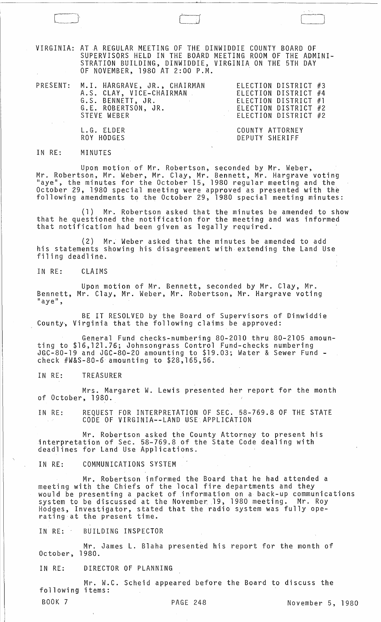VIRGINIA: ATA REGULAR MEETING OF THE DINWIDDIE COUNTY BOARD OF SUPERVISORS HELD IN THE BOARD MEETING ROOM OF THE ADMINI-STRATION BUILDING, DINWIDDIE, VIRGINIA ON THE 5TH DAY OF NOVEMBER, 1980 AT 2:00 P.M. .

LJ

|  | PRESENT: M.I. HARGRAVE, JR., CHAIRMAN | ELECTION DISTRICT #3 |
|--|---------------------------------------|----------------------|
|  | A.S. CLAY, VICE-CHAIRMAN              | ELECTION DISTRICT #4 |
|  | G.S. BENNETT, JR.                     | ELECTION DISTRICT #1 |
|  | G.E. ROBERTSON, JR.                   | ELECTION DISTRICT #2 |
|  | STEVE WEBER                           | ELECTION DISTRICT #2 |
|  | L.G. ELDER                            | COUNTY ATTORNEY      |
|  |                                       |                      |

#### IN RE: MINUTES

ROY HODGES

Upon motion of Mr. Robertson, seconded by Mr. Weber, Mr. Robertson, Mr. Weber, Mr. Clay, Mr. Bennett, Mr. Hargrave voting "aye", the minutes for the October 15, 1980 regular meeting and the October 29, 1980 special meeting were approved as presented with the following amendments to the October 29, 1980 special meeting minutes:

DEPUTY SHERIFF

(1) Mr. Robertson asked that the minutes be amended to show that he questioned the notification for the meeting and was informed that notification had been given as legally required. .

(2) Mr; Weber asked that the minutes be amended to add his statements showing his disagreement with extending the Land Use filing deadline.

IN RE: CLAIMS

Upon motion of Mr. Bennett, seconded by Mr. Clay, Mr. Bennett, Mr. Clay, Mr. Weber, Mr. Robertson, Mr. Hargrave voting<br>"aye",

BE IT RESOLVED by the Board of Supervisors of Dinwiddie County, Virginia that the following claims be approved:

General Fund checks-numbering 80-2010 thru 80-2105 amounting to \$16,121.76; Johnsongrass Control Fund-checks numbering JGC-80-l9 and JGC-80-20 amounting to \$19.03; Water & Sewer Fund - check #W&S-80-6 amounting to \$28,165,56.

IN RE: TREASURER

Mrs. Margaret W. Lewis presented her report for the month of October, 1980.

IN RE: REQUEST FOR INTERPRETATION OF SEC. 58-769.8 OF THE STATE CODE OF VIRGINIA--LAND USE APPLICATION

Mr. Robertson asked the County Attorney to present his interpretation of Sec. 58-769.8 of the State Code dealing with deadlines for Land Use Applications.

IN RE: COMMUNICATIONS SYSTEM

Mr. Robertson informed the Board that he had attended a meeting with the Chiefs of the local fire departments and they would be presenting a packet of information on a back-up communications system to be discussed at the November 19, 1980 meeting. Mr. Roy Hodges, Investigator, stated that the radio system was fully ope- rating at the present time.

IN RE: BUILDING INSPECTOR

Mr. James L. Blaha presented his report for the month of October, 1980.

IN RE: DIRECTOR OF PLANNING

Mr. W.C. Scheid appeared before the Board to discuss the following items: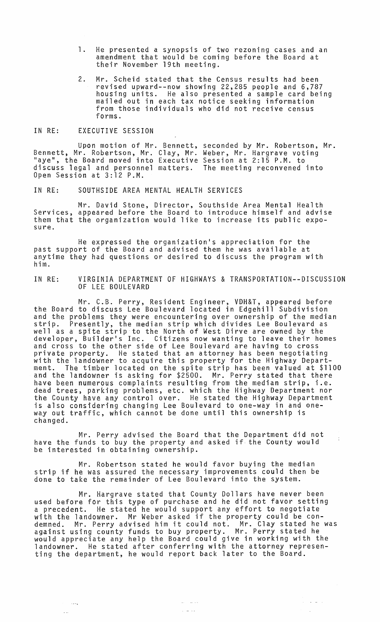- 1. He presented a synopsis of two rezoning cases and an amendment that would be coming before the Board at their November 19th meeting.
- 2. Mr. Scheid stated that the Census results had been revised upward--now showing 22,285 people and 6,787 housing units. He also presented a sample card being mailed out in each tax notice seeking information from those individuals who did not receive census forms.

#### IN RE: EXECUTIVE SESSION

لموسدة

 $\sim$   $\sim$ 

Upon motion of Mr. Bennett, Bennett, Mr. Robertson, Mr. Clay, Mr. "aye", the Board moved into Executive discuss legal and personnel matters. Open Session at 3:12 P.M. seconded by Mr. Robertson, Mr. Weber, Mr. Hargrave voting Session at 2:15 P.M. to The meeting reconvened into

IN RE: SOUTHSIDE AREA MENTAL HEALTH SERVICES

Mr. David Stone, Director, Southside Area Mental Health Services, appeared before the Board to introduce himself and advise them that the organization would like to increase its public exposure.

He expressed the organization's appreciation for the past support of the Board and advised them he was available at anytime they had questions or desired to discuss the program with him.

IN RE: VIRGINIA DEPARTMENT OF HIGHWAYS & TRANSPORTATION--DISCUSSION OF LEE BOULEVARD

Mr. C.B. Perry, Resident Engineer, VDH&T, appeared before the Board to discuss Lee Boulevard located in Edgehill Subdivision and the problems they were encountering over ownership of the median strip. Presently, the median strip which divides Lee Boulevard as well as a spite strip to the North of West Dirve are owned by the developer, Builder's Inc. Citizens now wanting to leave their homes and cross to the other side of Lee Boulevard are having to cross private property. He stated that an attorney has been negotiating<br>with the landowner to acquire this property for the Highway Department. The timber located on the spite strip has been valued at \$1100 and the landowner is asking for \$2500. Mr. Perry stated that there have been numerous complaints resulting from the median strip, i.e. dead trees, parking problems, etc. which the Highway Department nor the County have any control over. He stated the Highway Department is also considering changing Lee Boulevard to one-way in and oneway out traffic, which cannot be done until this ownership is changed.

Mr. Perry advised the Board that the Department did not have the funds to buy the property and asked if the County would be interested in obtaining ownership.

 $\overline{1}$ 

 $\alpha_{\rm{eff}}$  , and  $\alpha_{\rm{eff}}$ 

Mr. Robertson stated he would favor buying the median strip if he was assured the necessary improvements could then be done to take the remainder of Lee Boulevard into the system.

Mr. Hargrave stated that County Dollars have never been used before for this type of purchase and he did not favor setting a precedent. He stated he would support any effort to negotiate with the landowner. Mr Weber asked if the property could be conwith the landowner. Mr weber asked if the property could be con-<br>demned. Mr. Perry advised him it could not. Mr. Clay stated he was against using county funds to buy property. Mr. Perry stated he would appreciate any help the Board could give in working with the landowner. He stated after conferring with the attorney representing the department, he would report back later to the Board.

المتواصل المتل

الأباطات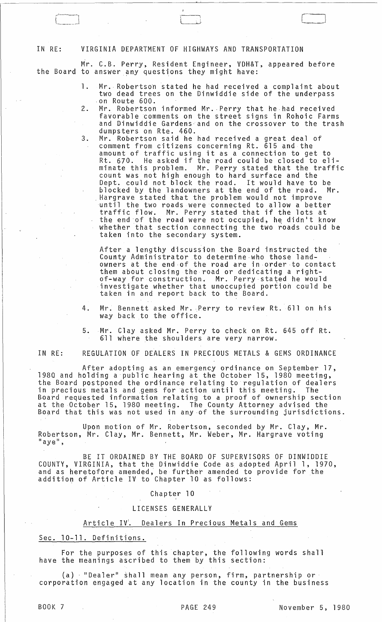IN RE: VIRGINIA DEPARTMENT OF HIGHWAYS AND TRANSPORTATION

لـــــــــــــا

Mr. C.B. Perry, Resident Engineer, VDH&T, appeared before the Board to answer any questions they might have:

 $\begin{pmatrix} 1 & 1 & 1 \\ 1 & 1 & 1 \\ 1 & 1 & 1 \end{pmatrix}$ 

- 1. Mr. Robertson stated he had received a complaint about two dead trees on the Dinwiddie side of the underpass on Route 600.
- 2. Mr. Robertson informed Mr. Perry that he had received favorable comments on the street signs in Rohoic Farms and Dinwiddie Gardens-and on the crossover to the trash dumpsters on Rte. 460.
- 3. Mr. Robertson said he had received a great deal of comment from citizens concerning Rt. 615 and the amount of traffic using it as a connection to get to Rt. 670. He asked if the road could be closed to eliminate this problem. Mr. Perry stated that the traffic count was not high enough to hard surface and the Dept. could not block the road. It would have to be blocked by the landowners at the end of the road. Mr.<br>Hargrave stated that the problem would not improve Hargrave stated that the problem would not improve<br>until the two roads were connected to allow a better traffic flow. Mr. Perry stated that if the lots at the end of the road were not occupied, he didn't know whether that section connecting the two roads could be taken into the secondary system.

After a lengthy discussion the Board instructed the County Administrator to determine-who those landowners at the end-of the road are in order to contact them about closing the road or dedicating a right- of-way for construction. Mr. Perry stated he would investigate whether that unoccupied poriion could be taken in and report back to the Board.

4. Mr. Bennett asked Mr. Perry to review Rt. 611 on his way back to the office.

5. Mr. Clay asked Mr. Perry to check on Rt. 645 off Rt. 611 where the shoulders are very narrow.

IN RE: REGULATION OF DEALERS IN PRECIOUS METALS & GEMS ORDINANCE

After adopting as an emergency ordinance on September 17, 1980 and holding a public hearing at the October 15, 1980 meeting, the Board postponed the ordinance relating to regulation of dealers in precious metals and gems for action until this meeting. The Board requested information relating to a proof of ownership section at the October 15, 1980 meeting. The County Attorney advised the Board that this was not used in any of the surrounding jurisdictions.

Upon motion of Mr. Robertson, seconded by Mr. Clay, Mr. Robertson, Mr. Clay, Mr. Bennett, Mr. Weber, Mr. Hargrave voting<br>"aye",

BE IT ORDAINED BY THE BOARD OF SUPERVISORS OF DINWIDDIE COUNTY, VIRGINIA, that the Dinwiddie Code as adopted April 1, 1970, and as heretofore amended, be further amended to provide for the addition of Article IV to Chapter 10 as follows:

Chapter 10

LICENSES GENERALLY

#### Article IV<sup>'</sup>. Dealers In Precious Metals and Gems

Sec. 10-11. Definitions.

For the purposes of this chapter, the following words shall have the meanings ascribed to them by this section:

(a) - "Dealer" shall mean any person, firm, partnership orcorporation engaged at any location in the county in the business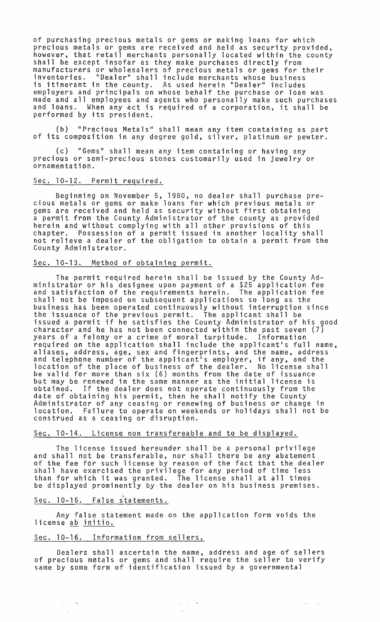of purchasing precious metals or gems or making loans for which precious metals or gems are received and held as security provided, however, that retail merchants personally located within the county shall be except insofar as they make purchases directly from manufacturers or wholesalers of precious metals or gems for their inventories. "Dealer" shall include merchants whose business is itinerant in the county. As used herein "Dealer" includes employers and principals on whose behalf the purchase or loan was made and all employees and agents who personally make such purchases and loans. When any act is required of a corporation, it shall be performed by its president.

(b) "Precious Metals" shall mean any item containing as part of its composition in any degree gold, silver, platinum or pewter.

(c) "Gems" shall mean any item containing or having any precious or semi-precious stones customarily used in jewelry or ornamentation.

#### Sec. 10-12. Permit required.

Beginning on November 5, 1980, no dealer shall purchase precious metals or gems or make loans for which previous metals or gems are received and held as security without first obtaining a permit from the County Administrator of the county as provided herein and without complying with all other provisions of this chapter. Possession of a permit issued in another locality shall not relieve a dealer of the obligation to obtain a permit from the County Administrator.

### Sec. 10-13. Method of obtaining permit.

The permit required herein shall be issued by the County Administrator or his designee upon payment of a \$25 application fee and satisfaction of the requirements herein. The application fee shall not be imposed on subsequent applications so long as the business has been operated continuously without interruption since the issuance of the previous permit. The applicant shall be issued a permit if he satisfies the County Administrator of his good character and he has not been connected within the past seven (7) years of a felony or a crime of moral turpitude. Information required on the application shall include the applicant's full name, aliases, address, age, sex and fingerprints, and the name, address and telephone number of the applicant's employer, if any, and the location of the place of business of the dealer. No license shall be valid for more than six (6) months from the date of issuance but may be renewed in the same manner as the initial license is obtained. If the dealer does not operate continuously from the<br>date of obtaining his permit, then he shall notify the County Administrator of any ceasing or renewing of business or change in location. Failure to operate on weekends or holidays shall not be construed as a ceasing or disruption.

#### Sec. 10-14. License non transfereable and to be displayed.

The license issued hereunder shall be a personal privilege and shall not be transferable, nor shall there be any abatement of the fee for such license by reason of the fact that the dealer shall have exercised the privilege for any period of time less than for which it was granted. The license shall at all times be displayed prominently by the dealer on his business premises.

# Sec. 10-15. False statements.

 $\sigma$  and  $\sigma$  and

Any false statement made on the application form voids the license ab initio.

#### Sec. 10-16. Information from sellers.

Dealers shall ascertain the name, address and age of sellers of precious metals or gems and shall require the seller to verify same by some form of identification issued by a governmental

 $\omega(\omega) = -\omega(\omega)$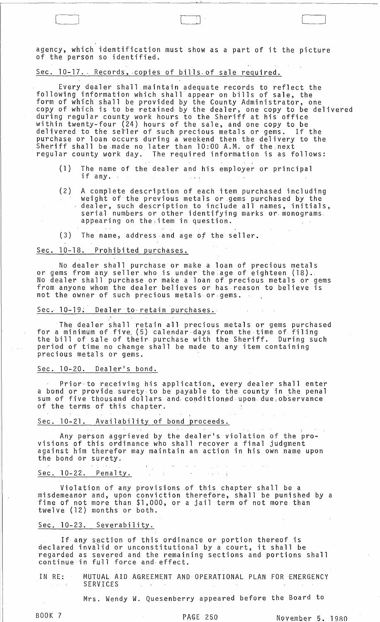agency, which identification must show as a part of it the picture of the person so identified.

[-1 LJ [~\_J

Sec. 10-17. Records, copies of bills of sale required.

Every dealer shall maintain adequate records to reflect the following information which shall appear on bills of sale, the form of which shall be provided by the County Administrator, one copy of which is to be retained- by the dealer, one copy to be delivered during regular county work hours to the Sheriff at his office within twenty-four (24) hours of the sale, and one copy to be delivered to the sel'ler of such precious metals or gems. If the purchase or loan occurs during a weekend then the delivery to the Sheriff shall be made no later than 10:00 A.M. of the,next regular county work day. The required information is as follows:

- (1) The name of the dealer and his employer or principal if any.
- (2) A complete description of each item purchased including weight of the previous metals or gems purchased by the dealer, such description to include all names, initials, serial numbers or other identifying marks or· monograms. appearing on the,item in question.
- (3) The name; address·and age of the seller.

# Sec. 10-18. Prohibited purchases.

,

No dealer shall purchase or make a loan of precious metals or gems from any seller who is under the age of eighteen (18).<br>No dealer shall purchase or make a loan of precious metals or gems No dealer shall purchase or make a loan of precious metals or gems<br>from anyone whom the dealer believes or has reason to believe is not the owner of such precious metals or· gems.

Sec. 10-19. Dealer to retain purchases.<br>The dealer shall retain all precious metals or gems purchased<br>for a minimum of five (5) calendar days from the time of filing<br>the bill of sale of their purchase with the Sheriff. Dur period of time no change shall be made to any item containing precious metals or gems.

#### Sec. 10-20. Dealer's bond.

Prior·to receiving his application, every dealer shall enter a bond or provide surety-to be payable to the county in the penal sum of five thousand dollars and conditioned upon due observance of the terms of this chapter.

## Sec. 10-21. Availability of bond proceeds.

Any person aggrieved by the dealer's violation of the provisions of this ordinance who shall recover a final judgment against him therefor may maintain an action in his own name upon the bond or surety.

#### Sec. 10-22. Penalty.

Violation of any provisions of this chapter shall be a .misdemeanor and, upon conviction therefore, shall be punished by a fine of not more than \$1,000, or a jail term of not more than twelve (12) months or both.

#### Sec. 10-23. Severability.

If any section of this ordinance or portion thereof is If any section of this ordinance or portion thereof is<br>declared invalid or unconstitutional by a court, it shall be regarded as severed and the remaining sections and portions shall continue in full force and effect.

IN RE: MUTUAL AID AGREEMENT AND OPERATIONAL PLAN FOR EMERGENCY SERVICES

Mrs. Wendy W. Quesenberry appeared before the Board to

San Architectural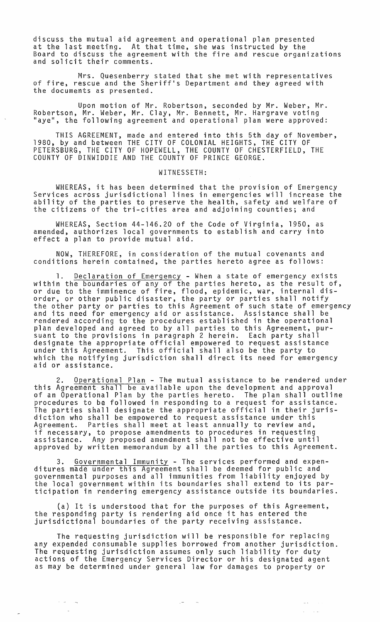discuss the mutual aid agreement and operational plan presented at the last meeting. At that time, she was instructed by the Board to discuss the agreement with the fire and rescue organizations and solicit their comments.

Mrs. Quesenberry stated that she met with representatives of fire, rescue and the Sheriff's Department and they agreed with the documents as presented.

Upon motion of Mr. Robertson, seconded by Mr. Weber, Mr. Robertson, Mr. Weber, Mr. Clay, Mr. Bennett, Mr. Hargrave voting "aye", the following agreement and operational plan were approved:

THIS AGREEMENT, made and entered into this 5th day of November, 1980, by and between THE CITY OF COLONIAL HEIGHTS, THE CITY OF PETERSBURG, THE CITY OF HOPEWELL, THE COUNTY OF CHESTERFIELD, THE COUNTY OF DINWIDDIE AND THE COUNTY OF PRINCE GEORGE.

#### WITNESSETH:

WHEREAS, it has been determined that the provision of Emergency Services across jurisdictional lines in emergencies will increase the ability of the parties to preserve the health, safety and welfare of the citizens of the tri-cities area and adjoining counties; and

WHEREAS, Section 44-146.20 of the Code of Virginia, 1950, as amended, authorizes local governments to establish and carry into effect a plan to provide mutual aid.

NOW, THEREFORE, in consideration of the mutual covenants and conditions herein contained, the parties hereto agree as follows:

Declaration of Emergency - When a state of emergency exists within the boundaries of any of the parties hereto, as the result of, or due to the imminence of fire, flood, epidemic, war, internal disorder, or other public disaster, the party or parties shall notify the other party or parties to this Agreement of such state of emergency and its need for emergency aid or assistance. Assistance shall be rendered according to the procedures established in the operational plan developed and agreed to by all parties to this Agreement, pursuant to the provisions in paragraph 2 herein. Each party shall designate the appropriate official empowered to request assistance under this Agreement. This official shall also be the party to which the notifying jurisdiction shall direct its need for emergency aid or assistance.

2. Operational Plan - The mutual assistance to be rendered under this Agreement shall be available upon the development and approval of an Operational Plan by the parties hereto. The plan shall outline procedures to be followed in responding to a request for assistance. The parties shall designate the appropriate official in their jurisdiction who shall be empowered to request assistance under this Agreement. Parties shall meet at least annually to review and, if necessary, to propose amendments to procedures in requesting assistance. Any proposed amendment shall not be effective until approved by written memorandum by all the parties to this Agreement.

3. <u>Governmental Immunity</u> - The services performed and expen-<br>ditures made under this Agreement shall be deemed for public and governmental purposes and all immunities from liability enjoyed by the local government within its boundaries shall extend to its participation in rendering emergency assistance outside its boundaries.

(a) It is understood that for the purposes of this Agreement, the responding party is rendering aid once it has entered the ing responsing party receiving arrangement of the party receiving assistance.

The requesting jurisdiction will be responsible for replacing any expended consumable supplies borrowed from another jurisdiction. The requesting jurisdiction assumes only such liability for duty actions of the Emergency Services Director or his designated agent as may be determined under general law for damages to property or

,  $\rightarrow$   $-$ 

 $\sim$   $\sim$  $\sim 100$  km

 $\mathcal{A}=\{a,b,c\}$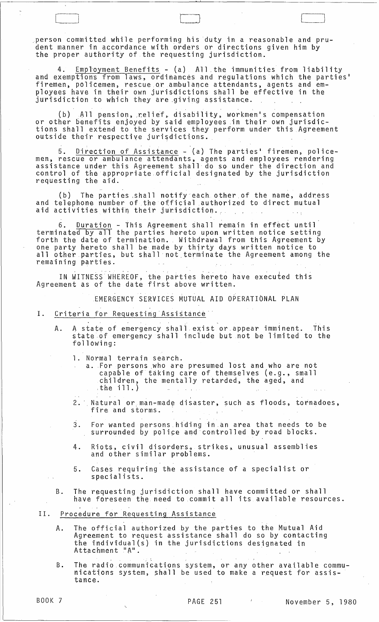person committed while performing his duty in a reasonable and prudent manner in accordance with orders or directions given him by the proper authority of the requesting jurisdiction.

Employment Benefits - (a) All the immunities from liability and exemptions from laws, ordinances and regulations which the parties' firemen, policemen, rescue or ambulance attendants, agents and employees have in their own jurisdictions shall be effective in the  ${\tt j}$ urisdiction to which they are giving assistance.

.<br>|<br>|-

(b) All pension, relief, disability, workmen's compensation or other benefits enjoyed by said employees in their own jurisdictions shall extend to the services they perform under this Agreement outside their respective jurisdictions.

. , 5. Direction of Assistance - (a) The parties' firemen, policemen, rescue or ambulance attendants, agents and employees rendering assistance under this Agreement shall do so under the direction and control of the appropriate official designated by the jurisdiction requesting the aid.

(b) The parties shall notify each other of the name, address and telephone number of the official authorized to direct mutual aid activities within their jurisdiction.

6. Duration - This Agreement shall remain in effect until terminated by all the parties hereto upon written notice setting forth the date of termination. Withdrawal from this Agreement by one party hereto shall be made by thirty days written notice to all other parties, but shall not terminate the Agreement among the<br>remaining parties.<br>IN WITNESS WHEREOF, the parties bereto have executed this remaining parties.

IN WITNESS WHEREOF, the parties hereto have executed this Agreement as of the date first above written.

EMERGENCY SERVICES MUTUAL AID OPERATIONAL PLAN

- I. Criteria for Requesting Assistance
	- A. A state of emergency shall exist or.appear imminent. This state of emergency shall include but not be limited to the following:
		- 1. Normal terrain search.
			- a. For persons who are presumed lost and who are not capable of taking care of themselves (e.g., small children, the mentally retarded, the aged, and ,the ill.)
		- , 2. Natural or man-made disaster, such as floods, tornadoes,  $\frac{1}{2}$  and storms.
		- $\tilde{3}.$  For wanted persons hiding in an area that needs to be surrounded by police and controlled by road blocks.
		- 4. Riots, civil disorders. strikes, unusual assemblies and other similar problems.
		- 5. Cases requiring the assistance of a specialist or specialists.
	- B. The requesting jurisdiction shall have committed or shall have foreseen the need to commit all its available resources.
- II. Procedure. for Requesting Assistance
	- A. The official authorized by the parties to the Mutual Aid Agreement to request assistance shall do so by contacting the individual(s) in the jurisdictions designated in Attachmen t 11 A" . .
	- B. The radio communications system, or any other available communications system, shall be used to make a request for assistance.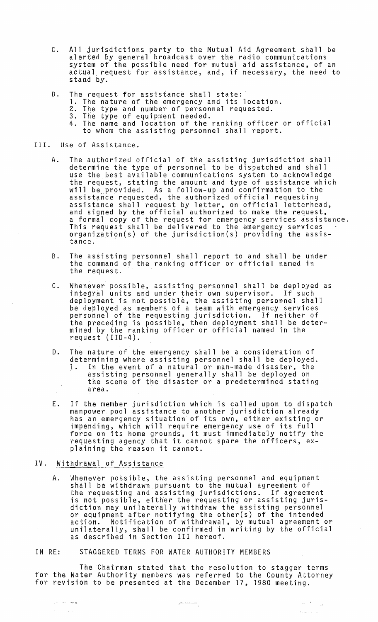- C. All jurisdictions party to the Mutual Aid Agreement shall be alerted by general broadcast over the radio communications system of the possible need for mutual aid assistance, of an actual request for assistance, and, if necessary, the need to stand by.
- D. The request for assistance shall state:
	- 1. The nature of the emergency and its location.
	- 2. The type and number of personnel requested. 3. The type of equipment needed.
	-
	- 4. The name and location of the ranking officer or official to whom the assisting personnel shall report.
- III. Use of Assistance.
	- A. The authorized official of the assisting jurisdiction shall determine the type of personnel to be dispatched and shall use the best available communications system to acknowledge the request, stating the amount and type of assistance which will be provided. As a follow-up and confirmation to the assistance requested, the authorized official requesting assistance shall request by letter, on official letterhead, and signed by the official authorized to make the request, a formal copy of the request for emergency services assistance. This request shall be delivered to the emergency services organization(s) of the jurisdiction(s) providing the assistance.
	- B. The assisting personnel shall report to and shall be under the command of the ranking officer or official named in the request.
	- C. Whenever possible, assisting personnel shall be deployed as integral units and under their own supervisor. If such deployment is not possible, the assisting personnel shall be deployed as members of a team with emergency services personnel of the requesting jurisdiction. If neither of the preceding is possible, then deployment shall be determined by the ranking officer or official named in the request (110-4).
	- D. The nature of the emergency shall be a consideration of determining where assisting personnel shall be deployed. 1. In the event of a natural or man-made disaster, the assisting personnel generally shall be deployed on the scene of the disaster or a predetermined stating  $\bar{z}$ area.
	- E. If the member jurisdiction which is called upon to dispatch manpower pool assistance to another jurisdiction already has an emergency situation of its own, either existing or impending, which will require emergency use of its full force on its home grounds, it must immediately notify the requesting agency that it cannot spare the officers, explaining the reason it cannot.
- IV. Withdrawal of Assistance

ويدانك الرز

 $\sim$  1  $\,$ 

A. Whenever possible, the assisting personnel and equipment shall be withdrawn pursuant to the mutual agreement of the requesting and assisting jurisdictions. If agreement is not possible, either the requesting or assisting jurisdiction may unilaterally withdraw the assisting personnel or equipment after notifying the other(s) of the intended action. Notification of withdrawal, by mutual agreement or unilaterally, shall be confirmed in writing by the official as described in Section III hereof.

#### IN RE: STAGGERED TERMS FOR WATER AUTHORITY MEMBERS

The Chairman stated that the resolution to stagger terms for the Water Authority members was referred to the County Attorney for revision to be presented at the December 17, 1980 meeting.

 $\label{eq:reduced} \begin{split} \mathbf{y} & \mapsto \mathbf{y} \mathbf{y} + \mathbf{y} \mathbf{y} + \mathbf{y} \mathbf{y} + \mathbf{y} \mathbf{y} + \mathbf{y} \mathbf{y} + \mathbf{y} \mathbf{y} + \mathbf{y} \mathbf{y} + \mathbf{y} \mathbf{y} + \mathbf{y} \mathbf{y} + \mathbf{y} \mathbf{y} + \mathbf{y} \mathbf{y} + \mathbf{y} \mathbf{y} + \mathbf{y} \mathbf{y} + \mathbf{y} \mathbf{y} + \mathbf{y} \mathbf{y} + \math$ 

 $\Delta \phi \sim 200$ 

 $\hat{G}(\omega)$  ,  $\hat{G}(\omega)$ 

 $\sim$  24.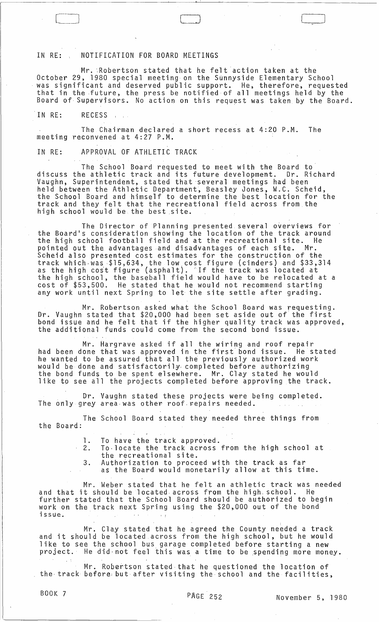## IN RE: , NOTIFICATION FOR BOARD MEETINGS

 $\Box$ 

Mr. Robertson stated that he felt action taken at the October 29, 1980 special meeting on the Sunnyside Elementary School was significant and deserved public support. He, therefore, requested that in the future, the press be notified of all meetings held by the Board of Supervisors. No action on this request was taken by the Board.

IN RE: RECESS

The Chairman declared a short recess at 4:20 P.M. The meeting reconvened at 4:27 P.M.

IN RE: APPROVAL OF ATHLETIC TRACK

The School Board requested to meet with the Board to discuss the athletic track and its future development. Dr. Richard Vaughn~ Superintendent, stated that several meetings had been held between the Athletic Department~ Beasley Jones, W.C. Scheid, the School Board and himself to determine the best location for the track and they felt that the recreational field across from the high school would be the best site.

The Director of Planning presented several overviews for the Board's consideration showing the location of the track around the high school football field and at the recreational site. He pointed out the advantages and disadvantages of each site. Mr. Scheid also presented cost estimates for the construction of the track which was \$15,634, the low cost figure (cinders) and \$33,314 crack which was pissos the low cost lighte (cinders) and possible that the track was located at the high school, the baseball field would have to be relocated at a cost of \$53,500. He stated that he would not recommend starting any work until next Spring to let the site settle after grading.

Mr. Robertson asked what the School Board was requesting. Dr. Vaughn stated that \$20,000 had been set aside out of the first bond issue and he felt that if the higher quality track was approved, the additional funds could come from the second bond issue.

Mr. Hargrave asked if all the wiring and roof repair had been done that was approved in the first' bond issue. He stated he wanted to be assured that all the previously authorized work would be done and satisfactorily- completed before authorizing the bond funds to be spent elsewhere. Mr. Clay stated he would like to see all the projects completed before approving the track.

Dr. Vaughn stated these projects were being completed.<br>The only grey area was other roof repairs needed.

The School Board stated they needed three things from the Board:

1. To have the track approved.<br>2. To locate the track across 2. To-locate the track across from the high school at the recreational site.

3. Authorization to proceed with the track as far as the Board would monetarily allow at this time.

Mr. Weber stated that he felt an athletic track was needed and that it should be located, across from the high, school. He further stated that the School Board should be authorized to begin work on the track next Spring using the \$20,000 out of the bond issue.  $\epsilon$  .

Mr. Clay stated that he agreed the County needed a track and it should be located.across from the high school, but he would like to see the school bus garage completed before starting a new project.' He did· not feel this was a time to be ,spending more money.

Mr. Robertson stated that he questioned the location of the track before but after visiting the school and the facilities,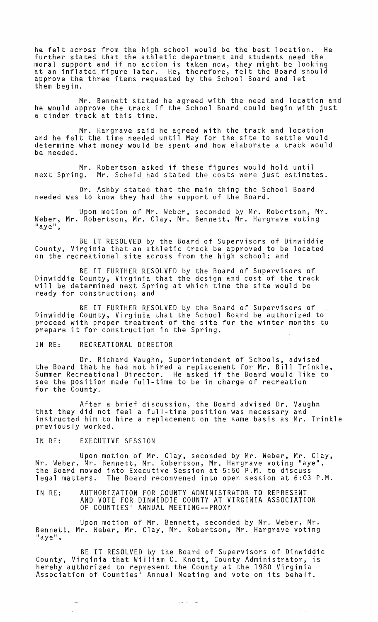he felt across from the high school would be the best location. further stated that the athletic department and students need the moral support and if no action is taken now, they might be looking at an inflated figure later. He, therefore, felt the Board should approve the three items requested by the School Board and let them begin.

Mr. Bennett stated he agreed with the need and location and he would approve the track if the School Board could begin with just a cinder track at this time.

Mr. Hargrave said he agreed with the track and location and he felt the time needed until May for the site to settle would determine what money would be spent and how elaborate a track would be needed.

Mr. Robertson asked if these figures would hold until<br>next Spring. Mr. Scheid had stated the costs were just estimat Mr. Scheid had stated the costs were just estimates.

Dr. Ashby stated that the main thing the School Board needed was to know they had the support of the Board.

Upon motion of Mr. Weber, seconded by Mr. Robertson, Mr. Weber, Mr. Robertson, Mr. Clay, Mr. Bennett, Mr. Hargrave voting<br>"aye",

BE IT RESOLVED by the Board of Supervisors of Dinwiddie County, Virginia that an athletic track be approved to be located on the recreational site across from the high school; and

BE IT FURTHER RESOLVED by the Board of Supervisors of Dinwiddie County, Virginia that the design and cost of the track will be determined next Spring at which time the site would be ready for construction; and

BE IT FURTHER RESOLVED by the Board of Supervisors of Dinwiddie County, Virginia that the School Board be authorized to proceed with proper treatment of the site for the winter months to prepare it for construction in the Spring.

## IN RE: RECREATIONAL DIRECTOR

Dr. Richard Vaughn, Superintendent of Schools, advised the Board that he had not hired a replacement for Mr. Bill Trinkle, Summer Recreational Director. He asked if the Board would like to see the position made full-time to be in charge of recreation for the County.

After a brief discussion, the Board advised Dr. Vaughn that they did not feel a full-time position was necessary and instructed him to hire a replacement on the same basis as Mr. Trinkle previously worked.

#### IN RE: EXECUTIVE SESSION

 $\sim$ 

Upon motion of Mr. Clay, seconded by Mr. Weber, Mr. Clay, Mr. Weber, Mr. Bennett, Mr. Robertson, Mr. Hargrave voting "aye", the Board moved into Executive Session at 5:50 P.M. to discuss legal matters. The Board reconvened into open session at 6:03 P.M.

IN RE: AUTHORIZATION FOR COUNTY ADMINISTRATOR TO REPRESENT AND VOTE FOR DINWIbDIE COUNTY AT VIRGINIA ASSOCIATION OF COUNTIES· ANNUAL MEETING--PROXY

Upon motion of Mr. Bennett, seconded by Mr. Weber, Mr. Bennett, Mr. Weber, Mr. Clay, Mr. Robertson, Mr. Hargrave voting<br>"aye",

BE IT RESOLVED by the Board of Supervisors of Dinwiddie County, Virginia that William C. Knott, County Administrator, is hereby authorized to represent the County at the 1980 Virginia Association of Counties' Annual Meeting and vote on its behalf.